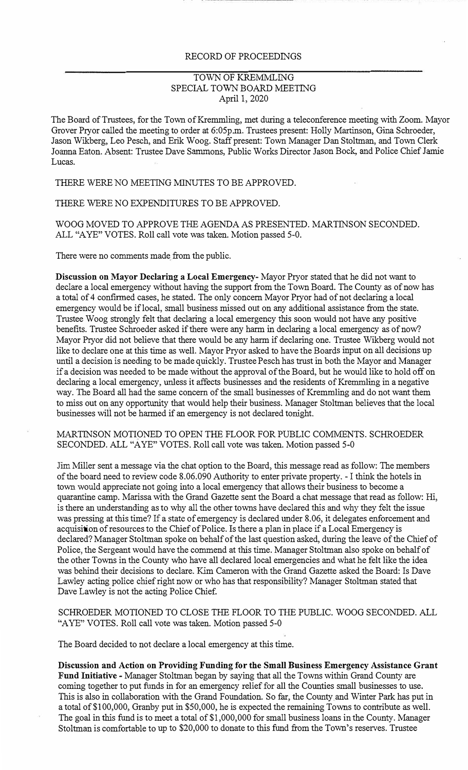## RECORD OF PROCEEDINGS

## TOWN OF KREMMLING SPECIAL TOWN BOARD MEETING April 1, 2020

The Board of Trustees, for the Town of Kremmling, met during a teleconference meeting with Zoom. Mayor Grover Pryor called the meeting to order at 6:05p.m. Trustees present: Holly Martinson, Gina Schroeder, Jason Wikberg, Leo Pesch, and Erik Woog. Staff present: Town Manager Dan Stoltman, and Town Clerk Joanna Eaton. Absent: Trustee Dave Sammons, Public Works Director Jason Bock, and Police Chief Jamie Lucas.

THERE WERE NO MEETING MINUTES TO BE APPROVED.

THERE WERE NO EXPENDITURES TO BE APPROVED.

WOOG MOVED TO APPROVE THE AGENDA AS PRESENTED. MARTINSON SECONDED. ALL "A YE" VOTES. Roll call vote was taken. Motion passed 5-0.

There were no connnents made from the public.

**Discussion on Mayor Declaring a Local Emergency-** Mayor Pryor stated that he did not want to declare a local emergency without having the support from the Town Board. The County as of now has a total of 4 confirmed cases, he stated. The only concern Mayor Pryor had of not declaring a local emergency would be if local, small business missed out on any additional assistance from the state. Trustee Woog strongly felt that declaring a local emergency this soon would not have any positive benefits. Trustee Schroeder asked if there were any harm in declaring a local emergency as of now? Mayor Pryor did not believe that there would be any harm if declaring one. Trustee Wikberg would not like to declare one at this time as well. Mayor Pryor asked to have the Boards input on all decisions up until a decision is needing to be made quickly. Trustee Pesch has trust in both the Mayor and Manager if a decision was needed to be made without the approval of the Board, but he would like to hold off on declaring a local emergency, unless it affects businesses and the residents of Kremmling in a negative way. The Board all had the same concern of the small businesses of Kremmling and do not want them to miss out on any opportunity that would help their business. Manager Stoltman believes that the local businesses will not be harmed if an emergency is not declared tonight.

MARTINSON MOTIONED TO OPEN THE FLOOR FOR PUBLIC COMMENTS. SCHROEDER SECONDED. ALL "A YE" VOTES. Roll call vote was taken. Motion passed 5-0

Jim Miller sent a message via the chat option to the Board, this message read as follow: The members of the board need to review code 8.06.090 Authority to enter private property. - I think the hotels in town would appreciate not going into a local emergency that allows their business to become a quarantine camp. Marissa with the Grand Gazette sent the Board a chat message that read as follow: Hi, is there an understanding as to why all the other towns have declared this and why they felt the issue was pressing at this time? If a state of emergency is declared under 8.06, it delegates enforcement and acquisition of resources to the Chief of Police. Is there a plan in place if a Local Emergency is declared? Manager Stoltman spoke on behalf of the last question asked, during the leave of the Chief of Police, the Sergeant would have the connnend at this time. Manager Stoltman also spoke on behalf of the other Towns in the County who have all declared local emergencies and what he felt like the idea was behind their decisions to declare. Kim Cameron with the Grand Gazette asked the Board: Is Dave Lawley acting police chief right now or who has that responsibility? Manager Stoltman stated that Dave Lawley is not the acting Police Chief.

SCHROEDER MOTIONED TO CLOSE THE FLOOR TO THE PUBLIC. WOOG SECONDED. ALL "AYE" VOTES. Roll call vote was taken. Motion passed 5-0

The Board decided to not declare a local emergency at this time.

**Discussion and Action on Providing Funding for the Small Business Emergency Assistance Grant Fund Initiative** - Manager Stoltman began by saying that all the Towns within Grand County are coming together to put funds in for an emergency relief for all the Counties small businesses to use. This is also in collaboration with the Grand Foundation. So far, the County and Winter Park has put in a total of\$100,000, Granby put in \$50,000, he is expected the remaining Towns to contribute as well. The goal in this fund is to meet a total of \$1,000,000 for small business loans in the County. Manager Stoltman is comfortable to up to \$20,000 to donate to this fund from the Town's reserves. Trustee